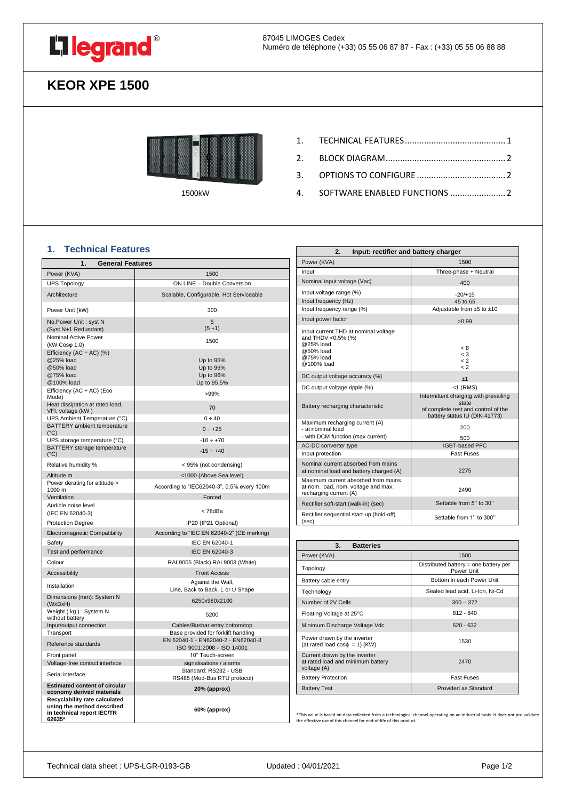

# **KEOR XPE 1500**



1500kW

- 2. [BLOCK DIAGRAM..................................................](#page-1-0) 2
- 3. [OPTIONS TO CONFIGURE](#page-1-1) ..................................... 2
- 4. [SOFTWARE ENABLED FUNCTIONS](#page-1-2) ....................... 2

## <span id="page-0-0"></span>**1. Technical Features**

| 1.                                                                                                  | <b>General Features</b>                                                   |  |  |  |  |
|-----------------------------------------------------------------------------------------------------|---------------------------------------------------------------------------|--|--|--|--|
| Power (KVA)                                                                                         | 1500                                                                      |  |  |  |  |
| <b>UPS Topology</b>                                                                                 | ON LINE - Double Conversion                                               |  |  |  |  |
| Architecture                                                                                        | Scalable, Configurable, Hot Serviceable                                   |  |  |  |  |
| Power Unit (kW)                                                                                     | 300                                                                       |  |  |  |  |
| No.Power Unit: syst N<br>(Syst N+1 Redundant)                                                       | 5<br>$(5+1)$                                                              |  |  |  |  |
| Nominal Active Power<br>(kW Cosφ 1.0)                                                               | 1500                                                                      |  |  |  |  |
| Efficiency (AC $\div$ AC) (%)<br>@25% load<br>@50% load<br>@75% load<br>@100% load                  | Up to 95%<br>Up to 96%<br>Up to 96%<br>Up to 95,5%                        |  |  |  |  |
| Efficiency $(AC \div AC)$ (Eco<br>Mode)                                                             | >99%                                                                      |  |  |  |  |
| Heat dissipation at rated load,<br>VFI, voltage (kW)                                                | 70                                                                        |  |  |  |  |
| UPS Ambient Temperature (°C)                                                                        | 0 ÷ 40                                                                    |  |  |  |  |
| BATTERY ambient temperature<br>$(^{\circ}C)$                                                        | $0 \div +25$                                                              |  |  |  |  |
| UPS storage temperature (°C)                                                                        | $-10 \div +70$                                                            |  |  |  |  |
| BATTERY storage temperature<br>$(^{\circ}C)$                                                        | $-15 \div +40$                                                            |  |  |  |  |
| Relative humidity %                                                                                 | < 95% (not condensing)                                                    |  |  |  |  |
| Altitude m                                                                                          | <1000 (Above Sea level)                                                   |  |  |  |  |
| Power derating for altitude ><br>1000 m                                                             | According to "IEC62040-3", 0,5% every 100m                                |  |  |  |  |
| Ventilation                                                                                         | Forced                                                                    |  |  |  |  |
| Audible noise level<br>(IEC EN 62040-3)                                                             | < 78dBa                                                                   |  |  |  |  |
| <b>Protection Degree</b>                                                                            | IP20 (IP21 Optional)                                                      |  |  |  |  |
| Electromagnetic Compatibility                                                                       | According to "IEC EN 62040-2" (CE marking)                                |  |  |  |  |
| Safety                                                                                              | IEC EN 62040-1                                                            |  |  |  |  |
| Test and performance                                                                                | IEC EN 62040-3                                                            |  |  |  |  |
| Colour                                                                                              | RAL9005 (Black) RAL9003 (White)                                           |  |  |  |  |
| Accessibility                                                                                       | <b>Front Access</b>                                                       |  |  |  |  |
| Installation                                                                                        | Against the Wall,<br>Line, Back to Back, L or U Shape                     |  |  |  |  |
| Dimensions (mm): System N<br>(WxDxH)                                                                | 6250x980x2100                                                             |  |  |  |  |
| Weight (kg): System N<br>without battery                                                            | 5200                                                                      |  |  |  |  |
| Input/output connection                                                                             | Cables/Busbar entry bottom/top                                            |  |  |  |  |
| Transport<br>Reference standards                                                                    | Base provided for forklift handling<br>EN 62040-1 - EN62040-2 - EN62040-3 |  |  |  |  |
| Front panel                                                                                         | ISO 9001:2008 - ISO 14001<br>10" Touch-screen                             |  |  |  |  |
| Voltage-free contact interface                                                                      | signalisations / alarms                                                   |  |  |  |  |
| Serial interface                                                                                    | Standard: RS232 - USB<br>RS485 (Mod-Bus RTU protocol)                     |  |  |  |  |
| <b>Estimated content of circular</b><br>economy derived materials                                   | 20% (approx)                                                              |  |  |  |  |
| Recyclability rate calculated<br>using the method described<br>in technical report IEC/TR<br>62635* | 60% (approx)                                                              |  |  |  |  |

| 2.<br>Input: rectifier and battery charger                                                                      |                                                                                                                        |  |
|-----------------------------------------------------------------------------------------------------------------|------------------------------------------------------------------------------------------------------------------------|--|
| Power (KVA)                                                                                                     | 1500                                                                                                                   |  |
| Input                                                                                                           | Three-phase + Neutral                                                                                                  |  |
| Nominal input voltage (Vac)                                                                                     | 400                                                                                                                    |  |
| Input voltage range (%)<br>Input frequency (Hz)<br>Input frequency range (%)                                    | $-20/+15$<br>45 to 65<br>Adjustable from $±5$ to $±10$                                                                 |  |
| Input power factor                                                                                              | >0.99                                                                                                                  |  |
| Input current THD at nominal voltage<br>and THDV <0,5% (%)<br>@25% load<br>@50% load<br>@75% load<br>@100% load | < 8<br>$\leq 3$<br>$\leq$ 2<br>$\leq$ 2                                                                                |  |
| DC output voltage accuracy (%)                                                                                  | ±1                                                                                                                     |  |
| DC output voltage ripple (%)                                                                                    | <1 (RMS)                                                                                                               |  |
| Battery recharging characteristic                                                                               | Intermittent charging with prevailing<br>state<br>of complete rest and control of the<br>battery status IU (DIN 41773) |  |
| Maximum recharging current (A)<br>- at nominal load<br>- with DCM function (max current)                        | 200<br>500                                                                                                             |  |
| AC-DC converter type                                                                                            | <b>IGBT-based PFC</b>                                                                                                  |  |
| Input protection                                                                                                | <b>Fast Fuses</b>                                                                                                      |  |
| Nominal current absorbed from mains<br>at nominal load and battery charged (A)                                  | 2275                                                                                                                   |  |
| Maximum current absorbed from mains<br>at nom. load, nom, voltage and max.<br>recharging current (A)            | 2490                                                                                                                   |  |
| Rectifier soft-start (walk-in) (sec)                                                                            | Settable from 5" to 30"                                                                                                |  |
| Rectifier sequential start-up (hold-off)<br>(sec)                                                               | Settable from 1" to 300"                                                                                               |  |

| 3.<br><b>Batteries</b>                                                            |                                                     |  |
|-----------------------------------------------------------------------------------|-----------------------------------------------------|--|
| Power (KVA)                                                                       | 1500                                                |  |
| Topology                                                                          | Distributed battery = one battery per<br>Power Unit |  |
| Battery cable entry                                                               | Bottom in each Power Unit                           |  |
| Technology                                                                        | Sealed lead acid, Li-Ion, Ni-Cd                     |  |
| Number of 2V Cells                                                                | $360 - 372$                                         |  |
| Floating Voltage at 25°C                                                          | $812 - 840$                                         |  |
| Minimum Discharge Voltage Vdc                                                     | $620 - 632$                                         |  |
| Power drawn by the inverter<br>(at rated load $cos\phi = 1$ ) (KW)                | 1530                                                |  |
| Current drawn by the inverter<br>at rated load and minimum battery<br>voltage (A) | 2470                                                |  |
| <b>Battery Protection</b>                                                         | <b>Fast Fuses</b>                                   |  |
| <b>Battery Test</b>                                                               | Provided as Standard                                |  |

\*This value is based on data collected from a technological channel operating on an industrial basis. It does not pre-validate the effective use of this channel for end-of-life of this product.